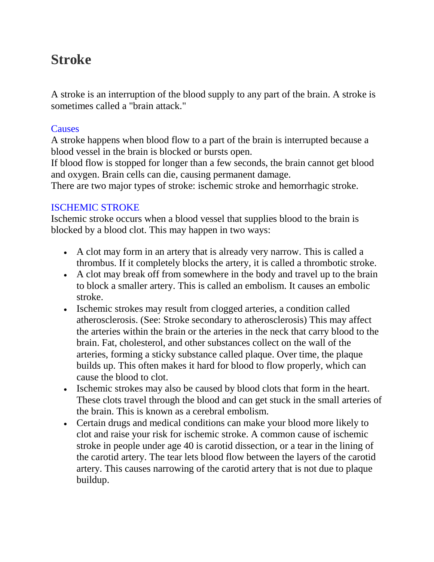# **Stroke**

A stroke is an interruption of the blood supply to any part of the brain. A stroke is sometimes called a "brain attack."

#### **Causes**

A stroke happens when blood flow to a part of the brain is interrupted because a blood vessel in the brain is blocked or bursts open.

If blood flow is stopped for longer than a few seconds, the brain cannot get blood and oxygen. Brain cells can die, causing permanent damage.

There are two major types of stroke: ischemic stroke and hemorrhagic stroke.

## ISCHEMIC STROKE

Ischemic stroke occurs when a blood vessel that supplies blood to the brain is blocked by a blood clot. This may happen in two ways:

- A clot may form in an artery that is already very narrow. This is called a thrombus. If it completely blocks the artery, it is called a thrombotic stroke.
- A clot may break off from somewhere in the body and travel up to the brain to block a smaller artery. This is called an embolism. It causes an embolic stroke.
- Ischemic strokes may result from clogged arteries, a condition called atherosclerosis. (See: Stroke secondary to atherosclerosis) This may affect the arteries within the brain or the arteries in the neck that carry blood to the brain. Fat, cholesterol, and other substances collect on the wall of the arteries, forming a sticky substance called plaque. Over time, the plaque builds up. This often makes it hard for blood to flow properly, which can cause the blood to clot.
- Ischemic strokes may also be caused by blood clots that form in the heart. These clots travel through the blood and can get stuck in the small arteries of the brain. This is known as a cerebral embolism.
- Certain drugs and medical conditions can make your blood more likely to clot and raise your risk for ischemic stroke. A common cause of ischemic stroke in people under age 40 is carotid dissection, or a tear in the lining of the carotid artery. The tear lets blood flow between the layers of the carotid artery. This causes narrowing of the carotid artery that is not due to plaque buildup.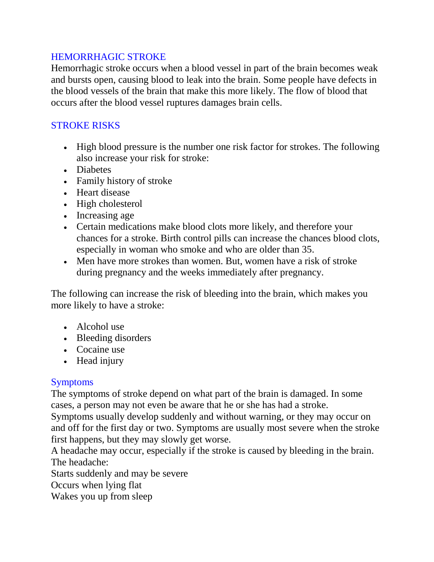## HEMORRHAGIC STROKE

Hemorrhagic stroke occurs when a blood vessel in part of the brain becomes weak and bursts open, causing blood to leak into the brain. Some people have defects in the blood vessels of the brain that make this more likely. The flow of blood that occurs after the blood vessel ruptures damages brain cells.

#### STROKE RISKS

- High blood pressure is the number one risk factor for strokes. The following also increase your risk for stroke:
- Diabetes
- Family history of stroke
- Heart disease
- High cholesterol
- Increasing age
- Certain medications make blood clots more likely, and therefore your chances for a stroke. Birth control pills can increase the chances blood clots, especially in woman who smoke and who are older than 35.
- Men have more strokes than women. But, women have a risk of stroke during pregnancy and the weeks immediately after pregnancy.

The following can increase the risk of bleeding into the brain, which makes you more likely to have a stroke:

- Alcohol use
- Bleeding disorders
- Cocaine use
- Head injury

## Symptoms

The symptoms of stroke depend on what part of the brain is damaged. In some cases, a person may not even be aware that he or she has had a stroke.

Symptoms usually develop suddenly and without warning, or they may occur on and off for the first day or two. Symptoms are usually most severe when the stroke first happens, but they may slowly get worse.

A headache may occur, especially if the stroke is caused by bleeding in the brain. The headache:

Starts suddenly and may be severe

Occurs when lying flat

Wakes you up from sleep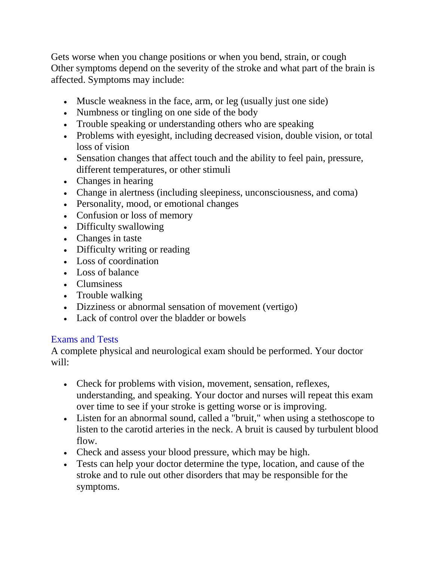Gets worse when you change positions or when you bend, strain, or cough Other symptoms depend on the severity of the stroke and what part of the brain is affected. Symptoms may include:

- Muscle weakness in the face, arm, or leg (usually just one side)
- Numbness or tingling on one side of the body
- Trouble speaking or understanding others who are speaking
- Problems with eyesight, including decreased vision, double vision, or total loss of vision
- Sensation changes that affect touch and the ability to feel pain, pressure, different temperatures, or other stimuli
- Changes in hearing
- Change in alertness (including sleepiness, unconsciousness, and coma)
- Personality, mood, or emotional changes
- Confusion or loss of memory
- Difficulty swallowing
- Changes in taste
- Difficulty writing or reading
- Loss of coordination
- Loss of balance
- Clumsiness
- Trouble walking
- Dizziness or abnormal sensation of movement (vertigo)
- Lack of control over the bladder or bowels

## Exams and Tests

A complete physical and neurological exam should be performed. Your doctor will:

- Check for problems with vision, movement, sensation, reflexes, understanding, and speaking. Your doctor and nurses will repeat this exam over time to see if your stroke is getting worse or is improving.
- Listen for an abnormal sound, called a "bruit," when using a stethoscope to listen to the carotid arteries in the neck. A bruit is caused by turbulent blood flow.
- Check and assess your blood pressure, which may be high.
- Tests can help your doctor determine the type, location, and cause of the stroke and to rule out other disorders that may be responsible for the symptoms.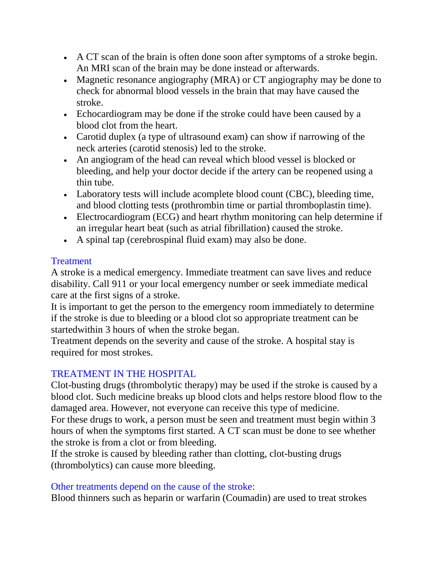- A CT scan of the brain is often done soon after symptoms of a stroke begin. An MRI scan of the brain may be done instead or afterwards.
- Magnetic resonance angiography (MRA) or CT angiography may be done to check for abnormal blood vessels in the brain that may have caused the stroke.
- Echocardiogram may be done if the stroke could have been caused by a blood clot from the heart.
- Carotid duplex (a type of ultrasound exam) can show if narrowing of the neck arteries (carotid stenosis) led to the stroke.
- An angiogram of the head can reveal which blood vessel is blocked or bleeding, and help your doctor decide if the artery can be reopened using a thin tube.
- Laboratory tests will include acomplete blood count (CBC), bleeding time, and blood clotting tests (prothrombin time or partial thromboplastin time).
- Electrocardiogram (ECG) and heart rhythm monitoring can help determine if an irregular heart beat (such as atrial fibrillation) caused the stroke.
- A spinal tap (cerebrospinal fluid exam) may also be done.

## Treatment

A stroke is a medical emergency. Immediate treatment can save lives and reduce disability. Call 911 or your local emergency number or seek immediate medical care at the first signs of a stroke.

It is important to get the person to the emergency room immediately to determine if the stroke is due to bleeding or a blood clot so appropriate treatment can be startedwithin 3 hours of when the stroke began.

Treatment depends on the severity and cause of the stroke. A hospital stay is required for most strokes.

## TREATMENT IN THE HOSPITAL

Clot-busting drugs (thrombolytic therapy) may be used if the stroke is caused by a blood clot. Such medicine breaks up blood clots and helps restore blood flow to the damaged area. However, not everyone can receive this type of medicine.

For these drugs to work, a person must be seen and treatment must begin within 3 hours of when the symptoms first started. A CT scan must be done to see whether the stroke is from a clot or from bleeding.

If the stroke is caused by bleeding rather than clotting, clot-busting drugs (thrombolytics) can cause more bleeding.

## Other treatments depend on the cause of the stroke:

Blood thinners such as heparin or warfarin (Coumadin) are used to treat strokes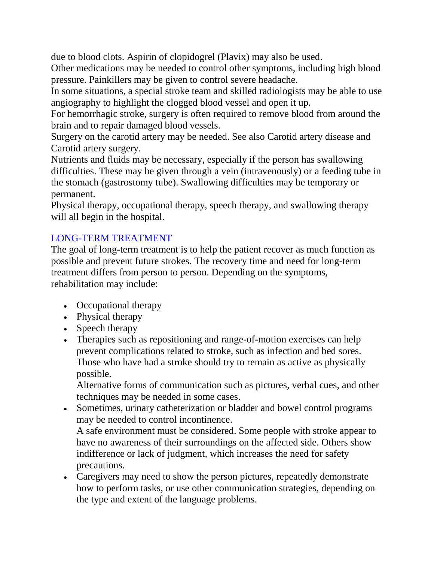due to blood clots. Aspirin of clopidogrel (Plavix) may also be used.

Other medications may be needed to control other symptoms, including high blood pressure. Painkillers may be given to control severe headache.

In some situations, a special stroke team and skilled radiologists may be able to use angiography to highlight the clogged blood vessel and open it up.

For hemorrhagic stroke, surgery is often required to remove blood from around the brain and to repair damaged blood vessels.

Surgery on the carotid artery may be needed. See also Carotid artery disease and Carotid artery surgery.

Nutrients and fluids may be necessary, especially if the person has swallowing difficulties. These may be given through a vein (intravenously) or a feeding tube in the stomach (gastrostomy tube). Swallowing difficulties may be temporary or permanent.

Physical therapy, occupational therapy, speech therapy, and swallowing therapy will all begin in the hospital.

## LONG-TERM TREATMENT

The goal of long-term treatment is to help the patient recover as much function as possible and prevent future strokes. The recovery time and need for long-term treatment differs from person to person. Depending on the symptoms, rehabilitation may include:

- Occupational therapy
- Physical therapy
- Speech therapy
- Therapies such as repositioning and range-of-motion exercises can help prevent complications related to stroke, such as infection and bed sores. Those who have had a stroke should try to remain as active as physically possible.

Alternative forms of communication such as pictures, verbal cues, and other techniques may be needed in some cases.

- Sometimes, urinary catheterization or bladder and bowel control programs may be needed to control incontinence. A safe environment must be considered. Some people with stroke appear to have no awareness of their surroundings on the affected side. Others show indifference or lack of judgment, which increases the need for safety precautions.
- Caregivers may need to show the person pictures, repeatedly demonstrate how to perform tasks, or use other communication strategies, depending on the type and extent of the language problems.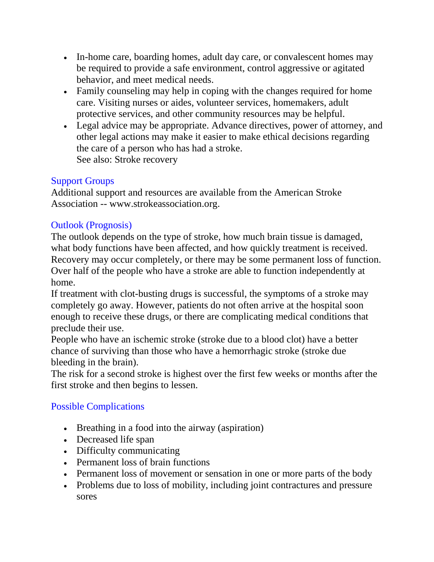- In-home care, boarding homes, adult day care, or convalescent homes may be required to provide a safe environment, control aggressive or agitated behavior, and meet medical needs.
- Family counseling may help in coping with the changes required for home care. Visiting nurses or aides, volunteer services, homemakers, adult protective services, and other community resources may be helpful.
- Legal advice may be appropriate. Advance directives, power of attorney, and other legal actions may make it easier to make ethical decisions regarding the care of a person who has had a stroke. See also: Stroke recovery

# Support Groups

Additional support and resources are available from the American Stroke Association -- www.strokeassociation.org.

## Outlook (Prognosis)

The outlook depends on the type of stroke, how much brain tissue is damaged, what body functions have been affected, and how quickly treatment is received. Recovery may occur completely, or there may be some permanent loss of function. Over half of the people who have a stroke are able to function independently at home.

If treatment with clot-busting drugs is successful, the symptoms of a stroke may completely go away. However, patients do not often arrive at the hospital soon enough to receive these drugs, or there are complicating medical conditions that preclude their use.

People who have an ischemic stroke (stroke due to a blood clot) have a better chance of surviving than those who have a hemorrhagic stroke (stroke due bleeding in the brain).

The risk for a second stroke is highest over the first few weeks or months after the first stroke and then begins to lessen.

## Possible Complications

- Breathing in a food into the airway (aspiration)
- Decreased life span
- Difficulty communicating
- Permanent loss of brain functions
- Permanent loss of movement or sensation in one or more parts of the body
- Problems due to loss of mobility, including joint contractures and pressure sores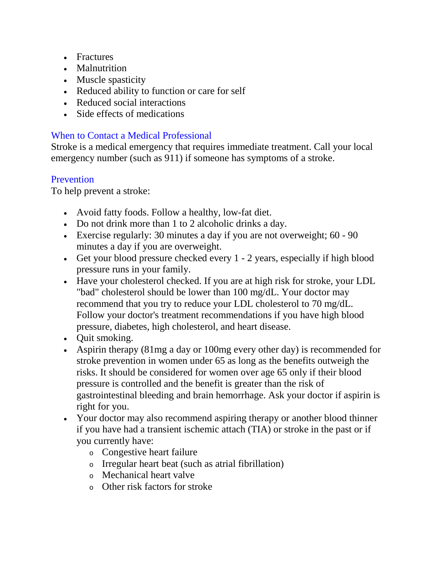- Fractures
- Malnutrition
- Muscle spasticity
- Reduced ability to function or care for self
- Reduced social interactions
- Side effects of medications

## When to Contact a Medical Professional

Stroke is a medical emergency that requires immediate treatment. Call your local emergency number (such as 911) if someone has symptoms of a stroke.

## Prevention

To help prevent a stroke:

- Avoid fatty foods. Follow a healthy, low-fat diet.
- Do not drink more than 1 to 2 alcoholic drinks a day.
- Exercise regularly: 30 minutes a day if you are not overweight; 60 90 minutes a day if you are overweight.
- Get your blood pressure checked every 1 2 years, especially if high blood pressure runs in your family.
- Have your cholesterol checked. If you are at high risk for stroke, your LDL "bad" cholesterol should be lower than 100 mg/dL. Your doctor may recommend that you try to reduce your LDL cholesterol to 70 mg/dL. Follow your doctor's treatment recommendations if you have high blood pressure, diabetes, high cholesterol, and heart disease.
- Quit smoking.
- Aspirin therapy (81mg a day or 100mg every other day) is recommended for stroke prevention in women under 65 as long as the benefits outweigh the risks. It should be considered for women over age 65 only if their blood pressure is controlled and the benefit is greater than the risk of gastrointestinal bleeding and brain hemorrhage. Ask your doctor if aspirin is right for you.
- Your doctor may also recommend aspiring therapy or another blood thinner if you have had a transient ischemic attach (TIA) or stroke in the past or if you currently have:
	- <sup>o</sup> Congestive heart failure
	- <sup>o</sup> Irregular heart beat (such as atrial fibrillation)
	- <sup>o</sup> Mechanical heart valve
	- <sup>o</sup> Other risk factors for stroke